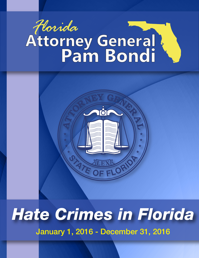# Horida<br>Attorney General



# *Hate Crimes in Florida*

January 1, 2016 - December 31, 2016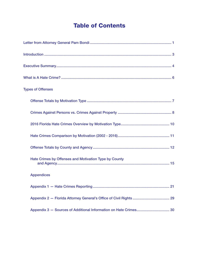# **Table of Contents**

| <b>Types of Offenses</b>                              |
|-------------------------------------------------------|
|                                                       |
|                                                       |
|                                                       |
|                                                       |
|                                                       |
| Hate Crimes by Offenses and Motivation Type by County |
| <b>Appendices</b>                                     |
| .21<br>Appendix 1 - Hate Crimes Reporting             |
|                                                       |
|                                                       |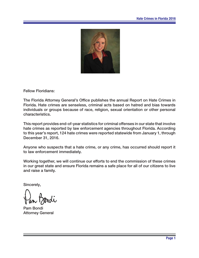

Fellow Floridians:

The Florida Attorney General's Office publishes the annual Report on Hate Crimes in Florida. Hate crimes are senseless, criminal acts based on hatred and bias towards individuals or groups because of race, religion, sexual orientation or other personal characteristics.

This report provides end-of-year statistics for criminal offenses in our state that involve hate crimes as reported by law enforcement agencies throughout Florida. According to this year's report, 124 hate crimes were reported statewide from January 1, through December 31, 2016.

Anyone who suspects that a hate crime, or any crime, has occurred should report it to law enforcement immediately.

Working together, we will continue our efforts to end the commission of these crimes in our great state and ensure Florida remains a safe place for all of our citizens to live and raise a family.

Sincerely,

Pam Bondi Attorney General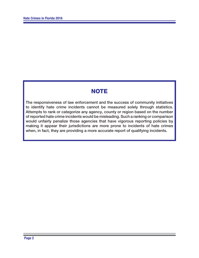# **NOTE**

The responsiveness of law enforcement and the success of community initiatives to identify hate crime incidents cannot be measured solely through statistics. Attempts to rank or categorize any agency, county or region based on the number of reported hate crime incidents would be misleading. Such a ranking or comparison would unfairly penalize those agencies that have vigorous reporting policies by making it appear their jurisdictions are more prone to incidents of hate crimes when, in fact, they are providing a more accurate report of qualifying incidents.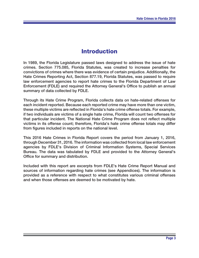# **Introduction**

In 1989, the Florida Legislature passed laws designed to address the issue of hate crimes. Section 775.085, Florida Statutes, was created to increase penalties for convictions of crimes where there was evidence of certain prejudice. Additionally, the Hate Crimes Reporting Act, Section 877.19, Florida Statutes, was passed to require law enforcement agencies to report hate crimes to the Florida Department of Law Enforcement (FDLE) and required the Attorney General's Office to publish an annual summary of data collected by FDLE.

Through its Hate Crime Program, Florida collects data on hate-related offenses for each incident reported. Because each reported crime may have more than one victim, these multiple victims are reflected in Florida's hate crime offense totals. For example, if two individuals are victims of a single hate crime, Florida will count two offenses for that particular incident. The National Hate Crime Program does not reflect multiple victims in its offense count; therefore, Florida's hate crime offense totals may differ from figures included in reports on the national level.

This 2016 Hate Crimes in Florida Report covers the period from January 1, 2016, through December 31, 2016. The information was collected from local law enforcement agencies by FDLE's Division of Criminal Information Systems, Special Services Bureau. The data was tabulated by FDLE and provided to the Attorney General's Office for summary and distribution.

Included with this report are excerpts from FDLE's Hate Crime Report Manual and sources of information regarding hate crimes (see Appendices). The information is provided as a reference with respect to what constitutes various criminal offenses and when those offenses are deemed to be motivated by hate.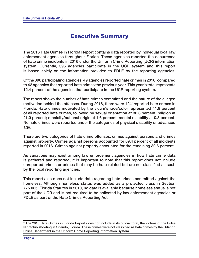# **Executive Summary**

The 2016 Hate Crimes in Florida Report contains data reported by individual local law enforcement agencies throughout Florida. These agencies reported the occurrence of hate crime incidents in 2016 under the Uniform Crime Reporting (UCR) information system. Currently, 396 agencies participate in the UCR system and this report is based solely on the information provided to FDLE by the reporting agencies.

Of the 396 participating agencies, 49 agencies reported hate crimes in 2016, compared to 42 agencies that reported hate crimes the previous year. This year's total represents 12.4 percent of the agencies that participate in the UCR reporting system.

The report shows the number of hate crimes committed and the nature of the alleged motivation behind the offenses. During 2016, there were 124<sup>\*</sup> reported hate crimes in Florida. Hate crimes motivated by the victim's race/color represented 41.9 percent of all reported hate crimes, followed by sexual orientation at 36.3 percent; religion at 21.0 percent; ethnicity/national origin at 1.6 percent; mental disability at 0.8 percent. No hate crimes were reported under the categories of physical disability or advanced age.

There are two categories of hate crime offenses: crimes against persons and crimes against property. Crimes against persons accounted for 69.4 percent of all incidents reported in 2016. Crimes against property accounted for the remaining 30.6 percent.

As variations may exist among law enforcement agencies in how hate crime data is gathered and reported, it is important to note that this report does not include unreported crimes or crimes that may be hate-related but are not classified as such by the local reporting agencies.

This report also does not include data regarding hate crimes committed against the homeless. Although homeless status was added as a protected class in Section 775.085, Florida Statutes in 2010, no data is available because homeless status is not part of the UCR and is not required to be collected by law enforcement agencies or FDLE as part of the Hate Crimes Reporting Act.

<sup>\*</sup> The 2016 Hate Crimes in Florida Report does not include in its official total, the victims of the Pulse Nightclub shooting in Orlando, Florida. These crimes were not classified as hate crimes by the Orlando Police Department in the Uniform Crime Reporting Information System.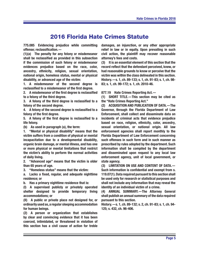# **2016 Florida Hate Crimes Statute**

**775.085 Evidencing prejudice while committing offense: reclassification.** -

**(1)(a) The penalty for any felony or misdemeanor**  shall be reclassified as provided in this subsection **if the commission of such felony or misdemeanor evidences prejudice based on the race, color, ancestry, ethnicity, religion, sexual orientation, national origin, homeless status, mental or physical disability, or advanced age of the victim:** 

**1. A misdemeanor of the second degree is**  reclassified to a misdemeanor of the first degree.

**2.** A misdemeanor of the first degree is reclassified **to a felony of the third degree.**

**3.** A felony of the third degree is reclassified to a **felony of the second degree.**

**4.** A felony of the second degree is reclassified to a felony of the first degree.

**5.** A felony of the first degree is reclassified to a **life felony.**

**(b) As used in paragraph (a), the term:** 

**1. "Mental or physical disability" means that the victim suff ers from a condition of physical or mental incapacitation due to a developmental disability, organic brain damage, or mental illness, and has one or more physical or mental limitations that restrict the victim's ability to perform the normal activities of daily living.**

**2. "Advanced age" means that the victim is older than 65 years of age.**

**3. "Homeless status" means that the victim:** 

**a. Lacks a fi xed, regular, and adequate nighttime residence; or**

**b. Has a primary nighttime residence that is:** 

**(I) A supervised publicly or privately operated shelter designed to provide temporary living accommodations; or**

**(II) A public or private place not designed for, or ordinarily used as, a regular sleeping accommodation for human beings.**

**(2) A person or organization that establishes by clear and convincing evidence that it has been coerced, intimidated, or threatened in violation of this section has a civil cause of action for treble** 

**damages, an injunction, or any other appropriate relief in law or in equity. Upon prevailing in such civil action, the plaintiff may recover reasonable attorney's fees and costs.**

**(3) It is an essential element of this section that the**  record reflect that the defendant perceived, knew, or **had reasonable grounds to know or perceive that the victim was within the class delineated in this section. History.—s. 1, ch. 89-133; s. 1, ch. 91-83; s. 1, ch. 98- 83; s. 1, ch. 99-172; s. 1, ch. 2010-46.**

**877.19 Hate Crimes Reporting Act.—** 

**(1) SHORT TITLE.—This section may be cited as the "Hate Crimes Reporting Act."**

**(2) ACQUISITION AND PUBLICATION OF DATA.—The Governor, through the Florida Department of Law Enforcement, shall collect and disseminate data on incidents of criminal acts that evidence prejudice based on race, religion, ethnicity, color, ancestry, sexual orientation, or national origin. All law enforcement agencies shall report monthly to the Florida Department of Law Enforcement concerning such off enses in such form and in such manner as prescribed by rules adopted by the department. Such information shall be compiled by the department and disseminated upon request to any local law enforcement agency, unit of local government, or state agency.**

**(3) LIMITATION ON USE AND CONTENT OF DATA.—** Such information is confidential and exempt from s. **119.07(1). Data required pursuant to this section shall be used only for research or statistical purposes and shall not include any information that may reveal the identity of an individual victim of a crime.**

**(4) ANNUAL SUMMARY.—The Attorney General shall publish an annual summary of the data required pursuant to this section.**

**History.—s. 1, ch. 89-132; s. 2, ch. 91-83; s. 1, ch. 94- 125; s. 432, ch. 96-406.**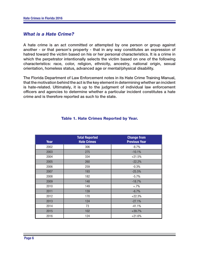# *What is a Hate Crime?*

A hate crime is an act committed or attempted by one person or group against another - or that person's property - that in any way constitutes an expression of hatred toward the victim based on his or her personal characteristics. It is a crime in which the perpetrator intentionally selects the victim based on one of the following characteristics: race, color, religion, ethnicity, ancestry, national origin, sexual orientation, homeless status, advanced age or mental/physical disability.

The Florida Department of Law Enforcement notes in its Hate Crime Training Manual, that the motivation behind the act is the key element in determining whether an incident is hate-related. Ultimately, it is up to the judgment of individual law enforcement officers and agencies to determine whether a particular incident constitutes a hate crime and is therefore reported as such to the state.

| Year | <b>Total Reported</b><br><b>Hate Crimes</b> | <b>Change from</b><br><b>Previous Year</b> |
|------|---------------------------------------------|--------------------------------------------|
| 2002 | 306                                         | $-8.7%$                                    |
| 2003 | 275                                         | $-10.1%$                                   |
| 2004 | 334                                         | $+21.5%$                                   |
| 2005 | 260                                         | $-22.2%$                                   |
| 2006 | 259                                         | $-0.3%$                                    |
| 2007 | 193                                         | $-25.5%$                                   |
| 2008 | 182                                         | $-5.7%$                                    |
| 2009 | 148                                         | $-18.7%$                                   |
| 2010 | 149                                         | $+.7\%$                                    |
| 2011 | 139                                         | $-6.7%$                                    |
| 2012 | 170                                         | $+22.3%$                                   |
| 2013 | 124                                         | $-27.1%$                                   |
| 2014 | 73                                          | $-41.1%$                                   |
| 2015 | 102                                         | $+39.7%$                                   |
| 2016 | 124                                         | $+21.6%$                                   |

## **Table 1. Hate Crimes Reported by Year.**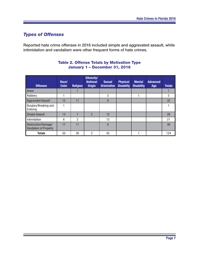# **Types of Offenses**

Reported hate crime offenses in 2016 included simple and aggravated assault, while intimidation and vandalism were other frequent forms of hate crimes.

| <b>Offenses</b>                                     | Race/<br><b>Color</b> | <b>Religion</b> | Ethnicity/<br><b>National</b><br><b>Origin</b> | <b>Sexual</b><br><b>Orientation</b> | <b>Physical</b><br><b>Disability</b> | <b>Mental</b><br><b>Disability</b> | <b>Advanced</b><br>Age | <b>Totals</b> |
|-----------------------------------------------------|-----------------------|-----------------|------------------------------------------------|-------------------------------------|--------------------------------------|------------------------------------|------------------------|---------------|
| Arson                                               |                       |                 |                                                |                                     |                                      |                                    |                        |               |
| Robbery                                             |                       |                 |                                                | 3                                   |                                      |                                    |                        | 5             |
| <b>Aggravated Assault</b>                           | 12                    | 11              |                                                | 9                                   |                                      |                                    |                        | 32            |
| Burglary/Breaking and<br>Entering                   |                       |                 |                                                |                                     |                                      |                                    |                        |               |
| <b>Simple Assault</b>                               | 13                    |                 | $\overline{2}$                                 | 12                                  |                                      |                                    |                        | 28            |
| <b>Intimidation</b>                                 | 6                     | $\overline{2}$  |                                                | 13                                  |                                      |                                    |                        | 21            |
| Destruction/Damage/<br><b>Vandalism of Property</b> | 17                    | 11              |                                                | 8                                   |                                      |                                    |                        | 36            |
| <b>Totals</b>                                       | 50                    | 26              | 2                                              | 45                                  |                                      |                                    |                        | 124           |

# **Table 2. Offense Totals by Motivation Type January 1 – December 31, 2016**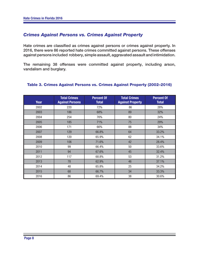# *Crimes Against Persons vs. Crimes Against Property*

Hate crimes are classified as crimes against persons or crimes against property. In 2016, there were 86 reported hate crimes committed against persons. These offenses against persons included robbery, simple assault, aggravated assault and intimidation.

The remaining 38 offenses were committed against property, including arson, vandalism and burglary.

| <b>Year</b> | <b>Total Crimes</b><br><b>Against Persons</b> | <b>Percent Of</b><br><b>Total</b> | <b>Total Crimes</b><br><b>Against Property</b> | <b>Percent Of</b><br><b>Total</b> |
|-------------|-----------------------------------------------|-----------------------------------|------------------------------------------------|-----------------------------------|
| 2002        | 220                                           | 72%                               | 86                                             | 28%                               |
| 2003        | 186                                           | 68%                               | 89                                             | 32%                               |
| 2004        | 254                                           | 76%                               | 80                                             | 24%                               |
| 2005        | 185                                           | 71%                               | 75                                             | 29%                               |
| 2006        | 171                                           | 66%                               | 88                                             | 34%                               |
| 2007        | 129                                           | 66.8%                             | 64                                             | 33.2%                             |
| 2008        | 120                                           | 65.9%                             | 62                                             | 34.1%                             |
| 2009        | 106                                           | 71.6%                             | 42                                             | 28.4%                             |
| 2010        | 99                                            | 66.4%                             | 50                                             | 33.6%                             |
| 2011        | 94                                            | 67.6%                             | 45                                             | 32.4%                             |
| 2012        | 117                                           | 68.8%                             | 53                                             | 31.2%                             |
| 2013        | 78                                            | 62.9%                             | 46                                             | 37.1%                             |
| 2014        | 48                                            | 65.8%                             | 25                                             | 34.2%                             |
| 2015        | 68                                            | 66.7%                             | 34                                             | 33.3%                             |
| 2016        | 86                                            | 69.4%                             | 38                                             | 30.6%                             |

#### **Table 3. Crimes Against Persons vs. Crimes Against Property (2002–2016)**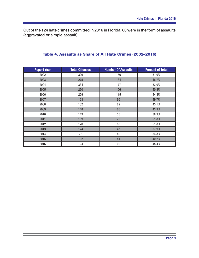Out of the 124 hate crimes committed in 2016 in Florida, 60 were in the form of assaults (aggravated or simple assault).

|  |  |  |  |  | Table 4. Assaults as Share of All Hate Crimes (2002-2016) |
|--|--|--|--|--|-----------------------------------------------------------|
|--|--|--|--|--|-----------------------------------------------------------|

| <b>Report Year</b> | <b>Total Offenses</b> | <b>Number Of Assaults</b> | <b>Percent of Total</b> |
|--------------------|-----------------------|---------------------------|-------------------------|
| 2002               | 306                   | 156                       | 51.0%                   |
| 2003               | 275                   | 134                       | 48.7%                   |
| 2004               | 334                   | 177                       | 53.0%                   |
| 2005               | 260                   | 106                       | 40.8%                   |
| 2006               | 259                   | 115                       | 44.4%                   |
| 2007               | 193                   | 96                        | 49.7%                   |
| 2008               | 182                   | 82                        | 45.1%                   |
| 2009               | 148                   | 65                        | 43.9%                   |
| 2010               | 149                   | 58                        | 38.9%                   |
| 2011               | 139                   | 72                        | 51.8%                   |
| 2012               | 170                   | 88                        | 51.8%                   |
| 2013               | 124                   | 47                        | 37.9%                   |
| 2014               | 73                    | 40                        | 54.8%                   |
| 2015               | 102                   | 41                        | 40.2%                   |
| 2016               | 124                   | 60                        | 48.4%                   |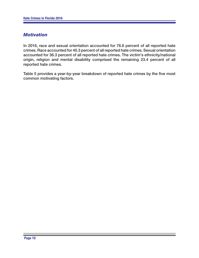# *Motivation*

In 2016, race and sexual orientation accounted for 76.6 percent of all reported hate crimes. Race accounted for 40.3 percent of all reported hate crimes. Sexual orientation accounted for 36.3 percent of all reported hate crimes. The victim's ethnicity/national origin, religion and mental disability comprised the remaining 23.4 percent of all reported hate crimes.

Table 5 provides a year-by-year breakdown of reported hate crimes by the five most common motivating factors.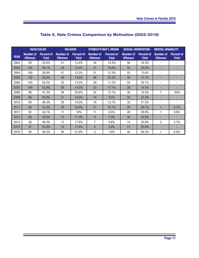|             | <b>RACE/COLOR</b>                   |                                   | <b>RELIGION</b>                     |                                   |                                     | <b>ETHNICITY/NAT'L ORIGIN</b>     | <b>SEXUAL ORIENTATION</b>           |                                   | <b>MENTAL DISABILITY</b>            |                                   |
|-------------|-------------------------------------|-----------------------------------|-------------------------------------|-----------------------------------|-------------------------------------|-----------------------------------|-------------------------------------|-----------------------------------|-------------------------------------|-----------------------------------|
| <b>YEAR</b> | <b>Number of</b><br><b>Offenses</b> | <b>Percent of</b><br><b>Total</b> | <b>Number of</b><br><b>Offenses</b> | <b>Percent of</b><br><b>Total</b> | <b>Number of</b><br><b>Offenses</b> | <b>Percent of</b><br><b>Total</b> | <b>Number of</b><br><b>Offenses</b> | <b>Percent of</b><br><b>Total</b> | <b>Number of</b><br><b>Offenses</b> | <b>Percent of</b><br><b>Total</b> |
| 2002        | 161                                 | 52.6%                             | 41                                  | 13.4%                             | 44                                  | 14.4%                             | 56                                  | 18.3%                             |                                     |                                   |
| 2003        | 135                                 | 49.1%                             | 34                                  | 12.4%                             | 51                                  | 18.6%                             | 55                                  | 20.0%                             |                                     |                                   |
| 2004        | 190                                 | 56.9%                             | 41                                  | 12.3%                             | 51                                  | 15.3%                             | 52                                  | 15.65                             | ٠                                   |                                   |
| 2005        | 130                                 | 50.0%                             | 36                                  | 13.8%                             | 58                                  | 22.3%                             | 34                                  | 13.1%                             |                                     |                                   |
| 2006        | 143                                 | 55.2%                             | 35                                  | 13.5%                             | 29<br>11.2%<br>52                   |                                   | 20.1%                               |                                   | ٠                                   |                                   |
| 2007        | 104                                 | 53.9%                             | 28                                  | 14.5%                             | 33<br>28<br>17.1%<br>14.5%          |                                   |                                     |                                   |                                     |                                   |
| 2008        | 86                                  | 47.3%                             | 38                                  | 20.9%                             | 22                                  | 12.1%                             | 35                                  | 19.2%                             |                                     | .05%                              |
| 2009        | 80                                  | 54.0%                             | 21                                  | 14.2%                             | 14                                  | 9.5%                              | 33                                  | 22.3%                             |                                     |                                   |
| 2010        | 69                                  | 46.3%                             | 29                                  | 19.5%                             | 19                                  | 12.7%                             | 32                                  | 21.5%                             |                                     |                                   |
| 2011        | 60                                  | 43.2%                             | 29                                  | 20.9%                             | 21                                  | 15.1%                             | 28                                  | 20.1%                             |                                     | 0.7%                              |
| 2012        | 92                                  | 54.1%                             | 17                                  | 10%                               | 11                                  | 6.5%                              | 49                                  | 28.8%                             |                                     | 0.6%                              |
| 2013        | 69                                  | 55.6%                             | 14                                  | 11.3%                             | 9                                   | 7.3%                              | 32                                  | 25.8%                             |                                     |                                   |
| 2014        | 36                                  | 49.3%                             | 13                                  | 17.8%                             | $\overline{7}$                      | 9.6%                              | 15                                  | 20.6%                             | $\overline{2}$                      | 2.7%                              |
| 2015        | 57                                  | 55.9%                             | 18                                  | 17.6%                             | $6\phantom{1}$                      | 5.9%                              | 21                                  | 20.6%                             |                                     |                                   |
| 2016        | 50                                  | 40.3%                             | 26                                  | 21.0%                             | 2                                   | 1.6%                              | 45                                  | 36.3%                             |                                     | 0.8%                              |

# **Table 5. Hate Crimes Comparison by Motivation (2002–2016)**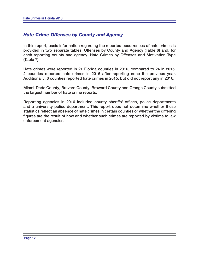# **Hate Crime Offenses by County and Agency**

In this report, basic information regarding the reported occurrences of hate crimes is provided in two separate tables: Offenses by County and Agency (Table 6) and, for each reporting county and agency, Hate Crimes by Offenses and Motivation Type (Table 7).

Hate crimes were reported in 21 Florida counties in 2016, compared to 24 in 2015. 2 counties reported hate crimes in 2016 after reporting none the previous year. Additionally, 6 counties reported hate crimes in 2015, but did not report any in 2016.

Miami-Dade County, Brevard County, Broward County and Orange County submitted the largest number of hate crime reports.

Reporting agencies in 2016 included county sheriffs' offices, police departments and a university police department. This report does not determine whether these statistics reflect an absence of hate crimes in certain counties or whether the differing figures are the result of how and whether such crimes are reported by victims to law enforcement agencies.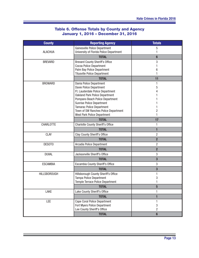# **Table 6. Offense Totals by County and Agency January 1, 2016 – December 31, 2016**

| <b>County</b>       | <b>Reporting Agency</b>                                             | <b>Totals</b>   |
|---------------------|---------------------------------------------------------------------|-----------------|
|                     | Gainesville Police Department                                       | 5               |
| <b>ALACHUA</b>      | University of Florida Police Department                             |                 |
|                     | <b>TOTAL</b>                                                        | $6\phantom{1}6$ |
| <b>BREVARD</b>      | <b>Brevard County Sheriff's Office</b>                              | 3               |
|                     | Cocoa Police Department                                             |                 |
|                     | Palm Bay Police Department<br><b>Titusville Police Department</b>   | 6               |
|                     | <b>TOTAL</b>                                                        | 11              |
| <b>BROWARD</b>      | Dania Police Department                                             |                 |
|                     | Davie Police Department                                             | 5               |
|                     | Ft. Lauderdale Police Department                                    |                 |
|                     | <b>Oakland Park Police Department</b>                               |                 |
|                     | Pompano Beach Police Department                                     |                 |
|                     | Sunrise Police Department                                           |                 |
|                     | <b>Tamarac Police Department</b>                                    |                 |
|                     | Town of SW Ranches Police Department<br>West Park Police Department | 2               |
|                     | <b>TOTAL</b>                                                        | 17              |
| CHARLOTTE           | <b>Charlotte County Sheriff's Office</b>                            | 1               |
|                     | <b>TOTAL</b>                                                        | $\mathbf{1}$    |
| <b>CLAY</b>         | Clay County Sheriff's Office                                        | $\overline{2}$  |
|                     | <b>TOTAL</b>                                                        | $\overline{2}$  |
| DESOTO              | Arcadia Police Department                                           | 2               |
|                     | <b>TOTAL</b>                                                        | $\overline{2}$  |
| <b>DUVAL</b>        | Jacksonville Sheriff's Office                                       | 3               |
|                     | <b>TOTAL</b>                                                        | 3               |
| <b>ESCAMBIA</b>     | Escambia County Sheriff's Office                                    | 3               |
|                     | <b>TOTAL</b>                                                        | 3               |
| <b>HILLSBOROUGH</b> | Hillsborough County Sheriff's Office                                |                 |
|                     | Tampa Police Department                                             | 3               |
|                     | Temple Terrace Police Department                                    |                 |
|                     | <b>TOTAL</b>                                                        | 5               |
| LAKE                | Lake County Sheriff's Office                                        | 1               |
|                     | <b>TOTAL</b>                                                        | 1               |
| LEE                 | Cape Coral Police Department                                        | 1               |
|                     | Fort Myers Police Department                                        | 3               |
|                     | Lee County Sheriff's Office                                         | $\overline{c}$  |
|                     | <b>TOTAL</b>                                                        | $6\phantom{1}$  |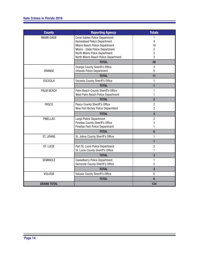| <b>County</b>      | <b>Reporting Agency</b>                                                                                                                        | <b>Totals</b>                    |
|--------------------|------------------------------------------------------------------------------------------------------------------------------------------------|----------------------------------|
| MIAMI-DADE         | <b>Coral Gables Police Department</b><br><b>Homestead Police Department</b><br>Miami Beach Police Department<br>Miami - Dade Police Department | 1<br>4<br>18<br>$\overline{c}$   |
|                    | North Miami Polce Department<br>North Miami Beach Police Department                                                                            | $\overline{c}$<br>3              |
|                    | <b>TOTAL</b>                                                                                                                                   | 30                               |
| ORANGE             | <b>Orange County Sheriff's Office</b><br><b>Orlando Police Department</b>                                                                      | 3<br>8                           |
|                    | <b>TOTAL</b>                                                                                                                                   | 11                               |
| <b>OSCEOLA</b>     | Osceola County Sheriff's Office                                                                                                                | 1                                |
|                    | <b>TOTAL</b>                                                                                                                                   | 1                                |
| PALM BEACH         | Palm Beach County Sheriff's Office<br>West Palm Beach Police Department                                                                        | 1<br>1                           |
|                    | <b>TOTAL</b>                                                                                                                                   | $\overline{2}$                   |
| PASCO              | Pasco County Sheriff's Office<br>New Port Richey Police Deparmtent                                                                             | $\overline{2}$<br>$\overline{2}$ |
|                    | <b>TOTAL</b>                                                                                                                                   | $\overline{\mathbf{4}}$          |
| <b>PINELLAS</b>    | Largo Police Department                                                                                                                        | $\overline{c}$                   |
|                    | <b>Pinellas County Sheriff's Office</b><br>Pinellas Park Police Department                                                                     | 3<br>1                           |
|                    | <b>TOTAL</b>                                                                                                                                   | $6\phantom{a}$                   |
| ST. JOHNS          | St. Johns County Sheriff's Office                                                                                                              | 1                                |
|                    |                                                                                                                                                | $\overline{1}$                   |
| <b>ST. LUCIE</b>   | Port St. Lucie Police Department<br>St. Lucie County Sheriff's Office                                                                          | $\overline{2}$<br>1              |
|                    | <b>TOTAL</b>                                                                                                                                   | 3                                |
| <b>SEMINOLE</b>    | <b>Casselberry Police Department</b><br>Seminole County Sheriff's Office                                                                       | 1<br>$\overline{2}$              |
|                    | <b>TOTAL</b>                                                                                                                                   | 3                                |
| <b>VOLUSIA</b>     | Volusia County Sheriff's Office                                                                                                                | 6                                |
|                    | <b>TOTAL</b>                                                                                                                                   | $6\phantom{1}$                   |
| <b>GRAND TOTAL</b> |                                                                                                                                                | 124                              |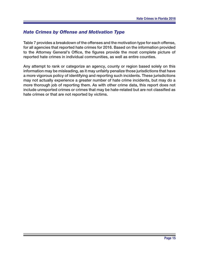# **Hate Crimes by Offense and Motivation Type**

Table 7 provides a breakdown of the offenses and the motivation type for each offense, for all agencies that reported hate crimes for 2016. Based on the information provided to the Attorney General's Office, the figures provide the most complete picture of reported hate crimes in individual communities, as well as entire counties.

Any attempt to rank or categorize an agency, county or region based solely on this information may be misleading, as it may unfairly penalize those jurisdictions that have a more vigorous policy of identifying and reporting such incidents. These jurisdictions may not actually experience a greater number of hate crime incidents, but may do a more thorough job of reporting them. As with other crime data, this report does not include unreported crimes or crimes that may be hate-related but are not classified as hate crimes or that are not reported by victims.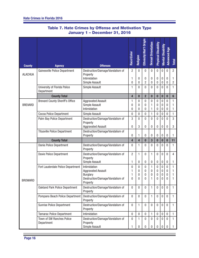| <b>County</b>  | <b>Agency</b>                              | <b>Offenses</b>                                                          | Race\Color          | Religion                 | Ethnicity Wat'l Origin     | <b>Sexual Orientation</b> | <b>Physical Disability</b>   | <b>Mental Disability</b> | <b>Advanced Age</b>        | Total              |
|----------------|--------------------------------------------|--------------------------------------------------------------------------|---------------------|--------------------------|----------------------------|---------------------------|------------------------------|--------------------------|----------------------------|--------------------|
|                | <b>Gainesville Police Department</b>       | Destruction/Damage/Vandalism of                                          | $\overline{2}$      | $\mathbf 0$              | $\mathbf{0}$               | $\mathbf 0$               | $\mathbf 0$                  | $\mathbf 0$              | $\mathbf 0$                | $\overline{2}$     |
| <b>ALACHUA</b> |                                            | Property<br>Intimidation<br>Simple Assault                               | 1<br>$\mathbf{0}$   | $\bf{0}$<br>0            | 0<br>$\overline{c}$        | 0<br>0                    | 0<br>$\pmb{0}$               | 0<br>0                   | $\mathbf 0$<br>$\mathbf 0$ | 1<br>2             |
|                | University of Florida Police<br>Department | Simple Assault                                                           | 1                   | $\mathbf 0$              | 0                          | 0                         | $\theta$                     | 0                        | 0                          | 1                  |
|                | <b>County Total</b>                        |                                                                          | 4                   | $\bf{0}$                 | $\overline{2}$             | $\bf{0}$                  | $\bf{0}$                     | 0                        | $\bf{0}$                   | 6                  |
| <b>BREVARD</b> | <b>Brevard County Sheriff's Office</b>     | <b>Aggravated Assault</b><br>Simple Assault<br>Intimidation              | 1<br>0<br>0         | 0<br>0<br>0              | 0<br>0<br>0                | 0<br>1<br>1               | 0<br>0<br>0                  | 0<br>0<br>0              | 0<br>0<br>$\mathbf 0$      | 1<br>1<br>1        |
|                | Cocoa Police Department                    | Simple Assault                                                           | $\mathbf{0}$        | $\Omega$                 | 0                          | 1                         | $\theta$                     | 0                        | 0                          | 1                  |
|                | Palm Bay Police Department                 | Destruction/Damage/Vandalism of<br>Property<br><b>Aggravated Assault</b> | 3<br>0              | $\mathbf{0}$<br>3        | 0<br>0                     | $\overline{0}$<br>0       | $\mathbf{0}$<br>$\bf{0}$     | 0<br>0                   | $\Omega$<br>$\mathbf 0$    | 3<br>3             |
|                | <b>Titusville Police Department</b>        | Destruction/Damage/Vandalism of<br>Property                              | 0                   | 1                        | 0                          | 0                         | 0                            | 0                        | $\mathbf 0$                | 1                  |
|                | <b>County Total</b>                        |                                                                          | 4                   | $\overline{\mathbf{4}}$  | $\bf{0}$                   | 3                         | $\bf{0}$                     | $\bf{0}$                 | $\bf{0}$                   | 11                 |
|                | Dania Police Department                    | Destruction/Damage/Vandalism of<br>Property                              | $\mathbf{0}$        | 1                        | 0                          | 0                         | $\theta$                     | 0                        | $\mathbf{0}$               | 1                  |
|                | Davie Police Department                    | Destruction/Damage/Vandalism of<br>Property<br>Simple Assault            | $\overline{2}$<br>1 | $\mathbf{1}$<br>0        | 0<br>0                     | 1<br>0                    | $\theta$<br>$\boldsymbol{0}$ | 0<br>0                   | $\mathbf{0}$<br>$\pmb{0}$  | 4<br>1             |
|                | Fort Lauderdale Police Department          | Intimidation                                                             | 0                   | $\mathbf{0}$             | 0                          | 1                         | 0                            | 0                        | $\mathbf 0$                | 1                  |
|                |                                            | <b>Aggravated Assault</b>                                                | 1                   | 0                        | 0                          | 0                         | 0                            | 0                        | $\mathbf 0$                | 1                  |
| <b>BROWARD</b> |                                            | <b>Burglary</b><br>Destruction/Damage/Vandalism of<br>Property           | 1<br>$\mathbf{0}$   | 0<br>$\Omega$            | 0<br>0                     | 0<br>1                    | $\bf{0}$<br>0                | 0<br>0                   | 0<br>0                     | 1<br>1             |
|                | <b>Oakland Park Police Department</b>      | Destruction/Damage/Vandalism of<br>Property                              | 0                   | 0                        | 0                          | 1                         | $\theta$                     | 0                        | $\mathbf{0}$               | 1                  |
|                | Pompano Beach Police Department            | Destruction/Damage/Vandalism of<br>Property                              | $\mathbf 0$         | $\mathbf 0$              | 0                          | 1                         | $\pmb{0}$                    | 0                        | $\mathbf 0$                | 1                  |
|                | <b>Sunrise Police Department</b>           | Destruction/Damage/Vandalism of<br>Property                              | $\bf{0}$            | 1                        | $\mathbf 0$                | 0                         | $\mathbf 0$                  | 0                        | $\mathbf 0$                | 1                  |
|                | <b>Tamarac Police Department</b>           | Intimidation                                                             | $\bf{0}$            | 0                        | $\mathbf 0$                | 1                         | $\pmb{0}$                    | 0                        | $\pmb{0}$                  | $\mathbf{1}$       |
|                | Town of SW Ranches Police<br>Department    | Destruction/Damage/Vandalism of<br>Property<br>Simple Assault            | $\mathbf 0$<br>1    | $\mathbf{1}$<br>$\bf{0}$ | $\overline{0}$<br>$\bf{0}$ | $\mathbf 0$<br>0          | $\mathbf 0$<br>$\pmb{0}$     | $\overline{0}$<br>0      | $\mathbf 0$<br>$\bf{0}$    | $\mathbf{1}$<br>1. |

# **Table 7. Hate Crimes by Offense and Motivation Type January 1 – December 31, 2016**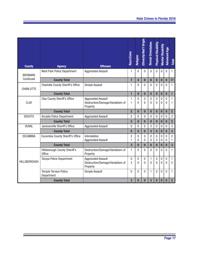| <b>County</b>       | <b>Agency</b>                                         | <b>Offenses</b>                                                          | Race\Color                   | Religion                | Ethnicity Mat'l Origin | <b>Sexual Orientation</b> | <b>Physical Disability</b> | <b>Mental Disability</b> | <b>Advanced Age</b>      | <b>Total</b>            |
|---------------------|-------------------------------------------------------|--------------------------------------------------------------------------|------------------------------|-------------------------|------------------------|---------------------------|----------------------------|--------------------------|--------------------------|-------------------------|
| <b>BROWARD</b>      | West Park Police Department                           | <b>Aggravated Assault</b>                                                | 1                            | $\Omega$                | $\Omega$               | $\Omega$                  | $\Omega$                   | 0                        | $\mathbf{0}$             | 1                       |
| Continued           | <b>County Total</b>                                   |                                                                          | $\overline{7}$               | $\overline{\mathbf{4}}$ | $\bf{0}$               | $6\phantom{1}$            | $\bf{0}$                   | $\bf{0}$                 | $\bf{0}$                 | 17                      |
| <b>CHARLOTTE</b>    | <b>Charlotte County Sheriff's Office</b>              | Simple Assault                                                           | 1                            | $\Omega$                | 0                      | $\overline{0}$            | $\mathbf{0}$               | $\Omega$                 | $\mathbf{0}$             | 1                       |
|                     | <b>County Total</b>                                   |                                                                          | $\blacksquare$               | $\bf{0}$                | $\bf{0}$               | $\bf{0}$                  | $\bf{0}$                   | $\bf{0}$                 | $\bf{0}$                 | $\mathbf{1}$            |
| <b>CLAY</b>         | <b>Clay County Sheriff's Office</b>                   | <b>Aggravated Assault</b><br>Destruction/Damage/Vandalism of<br>Property | $\mathbf{1}$<br>$\mathbf{1}$ | 0<br>0                  | 0<br>$\Omega$          | 0<br>$\Omega$             | $\mathbf 0$<br>$\Omega$    | 0<br>0                   | $\Omega$<br>$\Omega$     | 1<br>1                  |
|                     | <b>County Total</b>                                   |                                                                          | $\overline{2}$               | $\bf{0}$                | $\bf{0}$               | $\bf{0}$                  | $\bf{0}$                   | $\bf{0}$                 | $\bf{0}$                 | $\overline{2}$          |
| DESOTO              | Arcadia Police Department                             | <b>Aggravated Assault</b>                                                | 2                            | $\Omega$                | 0                      | 0                         | $\mathbf{0}$               | 0                        | $\mathbf{0}$             | $\overline{2}$          |
|                     | <b>County Total</b>                                   |                                                                          | $\overline{2}$               | $\bf{0}$                | $\bf{0}$               | $\bf{0}$                  | $\bf{0}$                   | $\bf{0}$                 | $\bf{0}$                 | $\overline{2}$          |
| <b>DUVAL</b>        | Jacksonville Sheriff's Office                         | <b>Aggravated Assault</b>                                                | $\mathbf 0$                  | 0                       | 0                      | 3                         | $\bf{0}$                   | 0                        | $\mathbf{0}$             | 3                       |
|                     | <b>County Total</b>                                   |                                                                          | $\bf{0}$                     | $\bf{0}$                | $\bf{0}$               | 3                         | $\bf{0}$                   | $\bf{0}$                 | $\bf{0}$                 | $\overline{3}$          |
| <b>ESCAMBIA</b>     | Escambia County Sheriff's Office                      | Intimidation                                                             | 2                            | $\Omega$                | 0                      | 0                         | $\mathbf 0$                | 0                        | 0                        | $\overline{2}$          |
|                     |                                                       | <b>Aggravated Assault</b>                                                | 1                            | $\overline{0}$          | 0                      | $\Omega$                  | $\mathbf{0}$               | 0                        | $\mathbf 0$              | 1                       |
|                     | <b>County Total</b>                                   |                                                                          | $\overline{\mathbf{3}}$      | $\bf{0}$                | $\bf{0}$               | $\bf{0}$                  | $\bf{0}$                   | $\bf{0}$                 | $\bf{0}$                 | $\overline{\mathbf{3}}$ |
|                     | <b>Hillsborough County Sheriff's</b><br><b>Office</b> | Destruction/Damage/Vandalism of<br>Property                              | 1                            | 0                       | 0                      | $\Omega$                  | $\Omega$                   | $\Omega$                 | $\Omega$                 | $\mathbf{1}$            |
| <b>HILLSBOROUGH</b> | Tampa Police Department                               | <b>Aggravated Assault</b><br>Destruction/Damage/Vandalism of<br>Property | 0<br>$\overline{2}$          | 0<br>$\Omega$           | 0<br>$\Omega$          | 1<br>$\Omega$             | $\bf{0}$<br>$\theta$       | $\pmb{0}$<br>$\Omega$    | $\mathbf{0}$<br>$\Omega$ | 1<br>$\overline{2}$     |
|                     | <b>Temple Terrace Police</b><br>Department            | Simple Assault                                                           | $\Omega$                     | $\Omega$                | 0                      | 1                         | $\Omega$                   | $\Omega$                 | $\Omega$                 | 1                       |
|                     | <b>County Total</b>                                   |                                                                          | 3                            | $\bf{0}$                | $\bf{0}$               | $\overline{2}$            | $\bf{0}$                   | $\bf{0}$                 | $\bf{0}$                 | $5\phantom{1}$          |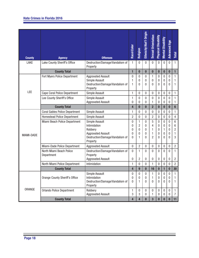| <b>County</b>     | <b>Agency</b>                          | <b>Offenses</b>                                                                                                       | Race\Color            | Religion                                                            | Ethnicity\Nat'l Origin                  | <b>Sexual Orientation</b>          | <b>Physical Disability</b>      | <b>Mental Disability</b>      | <b>Advanced Age</b>               | Total                                           |
|-------------------|----------------------------------------|-----------------------------------------------------------------------------------------------------------------------|-----------------------|---------------------------------------------------------------------|-----------------------------------------|------------------------------------|---------------------------------|-------------------------------|-----------------------------------|-------------------------------------------------|
| LAKE              | Lake County Sheriff's Office           | Destruction/Damage/Vandalism of                                                                                       | $\mathbf{1}$          | $\mathbf{0}$                                                        | $\mathbf{0}$                            | $\mathbf 0$                        | $\mathbf 0$                     | $\mathbf 0$                   | $\mathbf 0$                       | $\mathbf{1}$                                    |
|                   | <b>County Total</b>                    | Property                                                                                                              | $\overline{1}$        | $\bf{0}$                                                            | $\bf{0}$                                | $\bf{0}$                           | $\bf{0}$                        | $\bf{0}$                      | $\bf{0}$                          | 1                                               |
|                   | Fort Myers Police Department           | <b>Aggravated Assault</b><br>Simple Assault<br>Destruction/Damage/Vandalism of<br>Property                            | 0<br>1<br>1           | $\mathbf 0$<br>0<br>$\Omega$                                        | $\mathbf 0$<br>$\mathbf{0}$<br>$\Omega$ | 1<br>0<br>$\mathbf{0}$             | 0<br>0<br>0                     | 0<br>0<br>0                   | $\boldsymbol{0}$<br>0<br>0        | $\mathbf{1}$<br>1<br>1                          |
| <b>LEE</b>        | Cape Coral Police Department           | Simple Assault                                                                                                        | 1                     | $\mathbf{0}$                                                        | $\mathbf{0}$                            | 0                                  | 0                               | 0                             | 0                                 | 1                                               |
|                   | Lee County Sheriff's Office            | Simple Assault<br><b>Aggravated Assault</b>                                                                           | 1<br>0                | $\mathbf{0}$<br>0                                                   | $\mathbf{0}$<br>$\mathbf{0}$            | $\mathbf{0}$<br>1                  | $\mathbf{0}$<br>0               | 0<br>0                        | 0<br>0                            | 1<br>1                                          |
|                   | <b>County Total</b>                    |                                                                                                                       | 4                     | $\bf{0}$                                                            | $\bf{0}$                                | $\overline{2}$                     | $\bf{0}$                        | 0                             | $\bf{0}$                          | $6\phantom{a}$                                  |
|                   | <b>Coral Gables Police Department</b>  | Simple Assault                                                                                                        | 1                     | $\mathbf{0}$                                                        | $\mathbf{0}$                            | 0                                  | $\mathbf{0}$                    | 0                             | 0                                 | 1                                               |
|                   | <b>Homestead Police Department</b>     | Simple Assault                                                                                                        | $\overline{c}$        | $\mathbf 0$                                                         | $\mathbf{0}$                            | $\overline{2}$                     | 0                               | 0                             | 0                                 | $\overline{4}$                                  |
| <b>MIAMI-DADE</b> | Miami Beach Police Department          | Simple Assault<br>Intimidation<br>Robbery<br><b>Aggravated Assault</b><br>Destruction/Damage/Vandalism of<br>Property | 0<br>0<br>0<br>0<br>0 | $\mathbf{1}$<br>$\overline{c}$<br>$\mathbf{0}$<br>$\mathbf{0}$<br>1 | 0<br>$\mathbf{0}$<br>0<br>0<br>$\Omega$ | 5<br>4<br>1<br>1<br>$\overline{2}$ | $\mathbf 0$<br>0<br>0<br>0<br>0 | 0<br>0<br>1<br>0<br>0         | 0<br>0<br>0<br>0<br>0             | $6\phantom{a}$<br>6<br>$\overline{c}$<br>1<br>3 |
|                   | Miami-Dade Police Department           | <b>Aggravated Assault</b>                                                                                             | 0                     | $\overline{2}$                                                      | $\mathbf 0$                             | 0                                  | 0                               | 0                             | 0                                 | $\overline{2}$                                  |
|                   | North Miami Beach Police<br>Department | Destruction/Damage/Vandalism of<br>Property<br><b>Aggravated Assault</b>                                              | $\mathbf 0$<br>0      | $\mathbf{1}$<br>$\overline{2}$                                      | $\mathbf{0}$<br>0                       | $\mathbf{0}$<br>0                  | 0<br>0                          | 0<br>0                        | $\Omega$<br>0                     | 1<br>$\overline{c}$                             |
|                   | North Miami Police Department          | Intimidation                                                                                                          | 1                     | $\mathbf{0}$                                                        | $\mathbf{0}$                            | 1                                  | $\mathbf{0}$                    | 0                             | 0                                 | $\overline{2}$                                  |
|                   | <b>County Total</b>                    |                                                                                                                       | 4                     | 9                                                                   | $\bf{0}$                                | 16                                 | $\bf{0}$                        | 1                             | $\bf{0}$                          | 30                                              |
|                   | <b>Orange County Sheriff's Office</b>  | Simple Assault<br>Intimidation<br>Destruction/Damage/Vandalism of<br>Property                                         | 0<br>0<br>0           | $\mathbf{0}$<br>$\bf{0}$<br>1                                       | 0<br>$\pmb{0}$<br>$\mathbf{0}$          | 1<br>1<br>0                        | $\Omega$<br>0<br>0              | $\Omega$<br>0<br>$\mathbf{0}$ | $\Omega$<br>$\boldsymbol{0}$<br>0 | 1<br>1.                                         |
| ORANGE            | <b>Orlando Police Department</b>       | Robbery<br><b>Aggravated Assault</b>                                                                                  | 1<br>3                | $\pmb{0}$<br>3                                                      | 0<br>0                                  | 0<br>1                             | 0<br>0                          | 0<br>0                        | 0<br>$\pmb{0}$                    | 1<br>7                                          |
|                   | <b>County Total</b>                    |                                                                                                                       | 4                     | 4                                                                   | $\bf{0}$                                | $\mathbf{3}$                       | $\bf{0}$                        | 0                             | $\bf{0}$                          | 11                                              |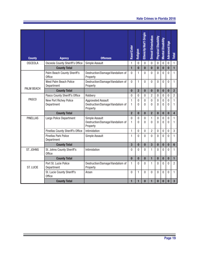# **Hate Crimes in Florida 2016**

| <b>County</b>     | <b>Agency</b>                                | <b>Offenses</b>                                                          | Race\Color     | Religion       | Ethnicity Mat'l Origin | <b>Sexual Orientation</b> | <b>Physical Disability</b> | <b>Mental Disability</b> | <b>Advanced Age</b>         | <b>Total</b>            |
|-------------------|----------------------------------------------|--------------------------------------------------------------------------|----------------|----------------|------------------------|---------------------------|----------------------------|--------------------------|-----------------------------|-------------------------|
| <b>OSCEOLA</b>    | <b>Osceola County Sheriff's Office</b>       | Simple Assault                                                           | 1              | $\overline{0}$ | $\mathbf 0$            | $\mathbf 0$               | 0                          | $\mathbf 0$              | $\mathbf 0$                 | $\mathbf{1}$            |
|                   | <b>County Total</b>                          |                                                                          | $\blacksquare$ | $\bf{0}$       | $\bf{0}$               | $\bf{0}$                  | $\bf{0}$                   | $\bf{0}$                 | $\bf{0}$                    | $\blacksquare$          |
| <b>PALM BEACH</b> | Palm Beach County Sheriff's<br><b>Office</b> | Destruction/Damage/Vandalism of<br>Property                              | $\Omega$       | 1              | 0                      | $\Omega$                  | $\Omega$                   | 0                        | $\theta$                    | $\mathbf{1}$            |
|                   | West Palm Beach Police<br>Department         | Destruction/Damage/Vandalism of<br>Property                              | $\overline{0}$ | $\mathbf{1}$   | $\overline{0}$         | $\overline{0}$            | $\mathbf{0}$               | $\overline{0}$           | $\overline{0}$              | $\mathbf{1}$            |
|                   | <b>County Total</b>                          |                                                                          | $\mathbf{0}$   | $\overline{2}$ | $\bf{0}$               | $\bf{0}$                  | $\bf{0}$                   | $\bf{0}$                 | $\bf{0}$                    | $\overline{2}$          |
| PASCO             | Pasco County Sheriff's Office                | Robbery                                                                  | 0              | 0              | 0                      | $\overline{c}$            | 0                          | $\mathbf 0$              | $\bf{0}$                    | $\overline{2}$          |
|                   | New Port Richey Police<br>Department         | <b>Aggravated Assault</b><br>Destruction/Damage/Vandalism of<br>Property | 1<br>1         | 0<br>0         | $\mathbf 0$<br>0       | $\mathbf 0$<br>0          | $\mathbf{0}$<br>0          | $\overline{0}$<br>0      | $\mathbf 0$<br>$\mathbf{0}$ | $\mathbf{1}$<br>1       |
|                   | <b>County Total</b>                          |                                                                          | $\overline{2}$ | $\bf{0}$       | $\bf{0}$               | $\overline{2}$            | $\bf{0}$                   | $\bf{0}$                 | $\bf{0}$                    | $\overline{\mathbf{4}}$ |
| <b>PINELLAS</b>   | Largo Police Department                      | Simple Assault<br>Destruction/Damage/Vandalism of<br>Property            | 0<br>1         | 0<br>0         | 0<br>0                 | 1<br>0                    | $\mathbf{0}$<br>0          | $\overline{0}$<br>0      | $\mathbf 0$<br>$\mathbf{0}$ | $\mathbf{1}$<br>1       |
|                   | <b>Pinellas County Sheriff's Office</b>      | Intimidation                                                             | 1              | 0              | 0                      | 2                         | 0                          | 0                        | 0                           | 3                       |
|                   | <b>Pinellas Park Police</b><br>Department    | Simple Assault                                                           | 1              | $\Omega$       | $\overline{0}$         | 0                         | $\Omega$                   | $\overline{0}$           | $\mathbf{0}$                | 1                       |
|                   | <b>County Total</b>                          |                                                                          | $\overline{3}$ | $\bf{0}$       | $\bf{0}$               | 3                         | $\bf{0}$                   | $\bf{0}$                 | $\bf{0}$                    | $6\phantom{a}$          |
| <b>ST. JOHNS</b>  | St. Johns County Sheriff's<br><b>Office</b>  | Intimidation                                                             | 0              | 0              | 0                      | 1                         | $\Omega$                   | $\Omega$                 | $\Omega$                    | 1                       |
|                   | <b>County Total</b>                          |                                                                          | $\bf{0}$       | $\bf{0}$       | $\bf{0}$               | $\overline{1}$            | $\bf{0}$                   | $\bf{0}$                 | $\bf{0}$                    | $\blacksquare$          |
| <b>ST. LUCIE</b>  | Port St. Lucie Police<br>Department          | Destruction/Damage/Vandalism of<br>Property                              | 1              | $\overline{0}$ | 0                      | 1                         | 0                          | $\overline{0}$           | $\overline{0}$              | $\overline{2}$          |
|                   | St. Lucie County Sheriff's<br><b>Office</b>  | Arson                                                                    | 0              | $\mathbf{1}$   | $\overline{0}$         | 0                         | 0                          | 0                        | $\mathbf{0}$                | $\mathbf{1}$            |
|                   | <b>County Total</b>                          |                                                                          | $\mathbf{1}$   | $\mathbf{1}$   | $\bf{0}$               | $\overline{1}$            | $\bf{0}$                   | $\bf{0}$                 | $\bf{0}$                    | $\overline{\mathbf{3}}$ |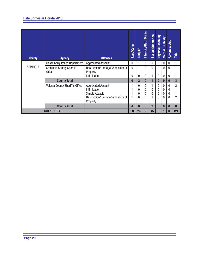| <b>County</b>      | <b>Agency</b>                          | <b>Offenses</b>                             | Race\Color | Religion       | Ethnicity Mat'l Origin | <b>Sexual Orientation</b> | <b>Physical Disability</b> | <b>Mental Disability</b> | <b>Advanced Age</b> | Total          |
|--------------------|----------------------------------------|---------------------------------------------|------------|----------------|------------------------|---------------------------|----------------------------|--------------------------|---------------------|----------------|
| <b>SEMINOLE</b>    | <b>Casselberry Police Department</b>   | <b>Aggravated Assault</b>                   | 0          |                | 0                      | $\mathbf{0}$              | $\Omega$                   | $\Omega$                 | $\Omega$            |                |
|                    | Seminole County Sheriff's<br>Office    | Destruction/Damage/Vandalism of<br>Property | 0          |                | 0                      | $\Omega$                  | $\Omega$                   | $\Omega$                 | $\Omega$            |                |
|                    |                                        | Intimidation                                | 0          | 0              | 0                      |                           | $\mathbf{0}$               | $\mathbf{0}$             | $\mathbf{0}$        | 1              |
|                    | <b>County Total</b>                    |                                             | $\bf{0}$   | $\overline{2}$ | $\bf{0}$               |                           | $\mathbf{0}$               | $\bf{0}$                 | $\bf{0}$            | 3              |
|                    | <b>Volusia County Sheriff's Office</b> | <b>Aggravated Assault</b>                   |            | 0              | 0                      |                           | $\Omega$                   | $\Omega$                 | $\Omega$            | $\overline{2}$ |
|                    |                                        | Intimidation                                |            | 0              | 0                      | 0                         | $\mathbf{0}$               | 0                        | 0                   |                |
|                    |                                        | Simple Assault                              |            | 0              | 0                      | 0                         | $\mathbf{0}$               | 0                        | 0                   |                |
|                    |                                        | Destruction/Damage/Vandalism of<br>Property |            | 0              | $\mathbf{0}$           |                           | $\Omega$                   | 0                        | $\Omega$            | $\mathfrak{p}$ |
|                    |                                        |                                             |            |                |                        |                           |                            |                          |                     |                |
|                    | <b>County Total</b>                    |                                             | 4          | O              | $\bf{0}$               | $\overline{2}$            | $\bf{0}$                   | $\mathbf{0}$             | $\bf{0}$            | 6              |
| <b>GRAND TOTAL</b> |                                        |                                             | 50         | 26             | $\overline{2}$         | 45                        | $\bf{0}$                   |                          | $\bf{0}$            | 124            |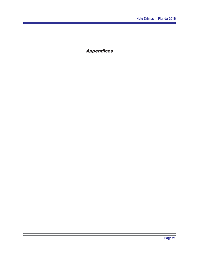*Appendices*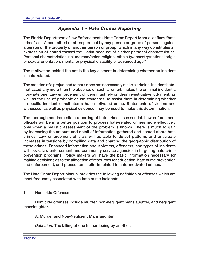# *Appendix 1 - Hate Crimes Reporting*

The Florida Department of law Enforcement's Hate Crime Report Manual defines "hate crime" as, "A committed or attempted act by any person or group of persons against a person or the property of another person or group, which in any way constitutes an expression of hatred toward the victim because of his/her personal characteristics. Personal characteristics include race/color, religion, ethnicity/ancestry/national origin or sexual orientation, mental or physical disability or advanced age."

The motivation behind the act is the key element in determining whether an incident is hate-related.

The mention of a prejudiced remark does not necessarily make a criminal incident hatemotivated any more than the absence of such a remark makes the criminal incident a non-hate one. Law enforcement officers must rely on their investigative judgment, as well as the use of probable cause standards, to assist them in determining whether a specific incident constitutes a hate-motivated crime. Statements of victims and witnesses, as well as physical evidence, may be used to make this determination.

The thorough and immediate reporting of hate crimes is essential. Law enforcement officials will be in a better position to process hate-related crimes more effectively only when a realistic assessment of the problem is known. There is much to gain by increasing the amount and detail of information gathered and shared about hate crimes. Law enforcement officials will be able to detect patterns and anticipate increases in tensions by compiling data and charting the geographic distribution of these crimes. Enhanced information about victims, offenders, and types of incidents will assist law enforcement and community service agencies in targeting hate crime prevention programs. Policy makers will have the basic information necessary for making decisions as to the allocation of resources for education, hate crime prevention and enforcement, and prosecutorial efforts related to hate-motivated crimes.

The Hate Crime Report Manual provides the following definition of offenses which are most frequently associated with hate crime incidents:

#### 1. Homicide Offenses

Homicide offenses include murder, non-negligent manslaughter, and negligent manslaughter.

A. Murder and Non-Negligent Manslaughter

*Definition:* The killing of one human being by another.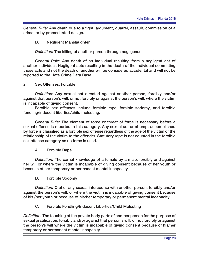*General Rule:* Any death due to a fight, argument, quarrel, assault, commission of a crime, or by premeditated design.

B. Negligent Manslaughter

**Definition: The killing of another person through negligence.** 

*General Rule:* Any death of an individual resulting from a negligent act of another individual. Negligent acts resulting in the death of the individual committing those acts and not the death of another will be considered accidental and will not be reported to the Hate Crime Data Base.

2. Sex Offenses, Forcible

*Definition:* Any sexual act directed against another person, forcibly and/or against that person's will, or not forcibly or against the person's will, where the victim is incapable of giving consent.

Forcible sex offenses include forcible rape, forcible sodomy, and forcible fondling/indecent liberties/child molesting.

*General Rule:* The element of force or threat of force is necessary before a sexual offense is reported in this category. Any sexual act or attempt accomplished by force is classified as a forcible sex offense regardless of the age of the victim or the relationship of the victim to the offender. Statutory rape is not counted in the forcible sex offense category as no force is used.

A. Forcible Rape

Definition: The carnal knowledge of a female by a male, forcibly and against her will or where the victim is incapable of giving consent because of her youth or because of her temporary or permanent mental incapacity.

B. Forcible Sodomy

*Definition:* Oral or any sexual intercourse with another person, forcibly and/or against the person's will, or where the victim is incapable of giving consent because of his /her youth or because of his/her temporary or permanent mental incapacity.

## C. Forcible Fondling/Indecent Liberties/Child Molesting

*Definition:* The touching of the private body parts of another person for the purpose of sexual gratification, forcibly and/or against that person's will; or not forcibly or against the person's will where the victim is incapable of giving consent because of his/her temporary or permanent mental incapacity.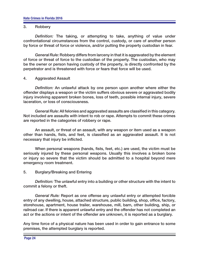#### 3. Robbery

*Definition:* The taking, or attempting to take, anything of value under confrontational circumstances from the control, custody, or care of another person by force or threat of force or violence, and/or putting the property custodian in fear.

*General Rule:* Robbery differs from larceny in that it is aggravated by the element of force or threat of force to the custodian of the property. The custodian, who may be the owner or person having custody of the property, is directly confronted by the perpetrator and is threatened with force or fears that force will be used.

#### 4. Aggravated Assault

*Definition:* An unlawful attack by one person upon another where either the offender displays a weapon or the victim suffers obvious severe or aggravated bodily injury involving apparent broken bones, loss of teeth, possible internal injury, severe laceration, or loss of consciousness.

*General Rule:* All felonies and aggravated assaults are classified in this category. Not included are assaults with intent to rob or rape. Attempts to commit these crimes are reported in the categories of robbery or rape.

 An assault, or threat of an assault, with any weapon or item used as a weapon other than hands, fists, and feet, is classified as an aggravated assault. It is not necessary that injury be inflicted.

When personal weapons (hands, fists, feet, etc.) are used, the victim must be seriously injured by these personal weapons. Usually this involves a broken bone or injury so severe that the victim should be admitted to a hospital beyond mere emergency room treatment.

## 5. Burglary/Breaking and Entering

*Definition:* The unlawful entry into a building or other structure with the intent to commit a felony or theft.

*General Rule:* Report as one offense any unlawful entry or attempted forcible entry of any dwelling, house, attached structure, public building, shop, office, factory, storehouse, apartment, house trailer, warehouse, mill, barn, other building, ship, or railroad car. If there is apparent unlawful entry and the offender has not completed an act or the actions or intent of the offender are unknown, it is reported as a burglary.

Any time force of a physical nature has been used in order to gain entrance to some premises, the attempted burglary is reported.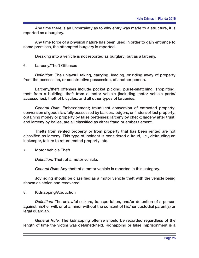Any time there is an uncertainty as to why entry was made to a structure, it is reported as a burglary.

 Any time force of a physical nature has been used in order to gain entrance to some premises, the attempted burglary is reported.

Breaking into a vehicle is not reported as burglary, but as a larceny.

6. Larceny/Theft Offenses

Definition: The unlawful taking, carrying, leading, or riding away of property from the possession, or constructive possession, of another person.

Larceny/theft offenses include pocket picking, purse-snatching, shoplifting, theft from a building, theft from a motor vehicle (including motor vehicle parts/ accessories), theft of bicycles, and all other types of larcenies.

*General Rule:* Embezzlement; fraudulent conversion of entrusted property; conversion of goods lawfully possessed by bailees, lodgers, or finders of lost property; obtaining money or property by false pretenses; larceny by check; larceny after trust; and larceny by bailee, are all classified as either fraud or embezzlement.

 Thefts from rented property or from property that has been rented are not classified as larceny. This type of incident is considered a fraud, i.e., defrauding an innkeeper, failure to return rented property, etc.

7. Motor Vehicle Theft

**Definition: Theft of a motor vehicle.** 

*General Rule:* Any theft of a motor vehicle is reported in this category.

Joy riding should be classified as a motor vehicle theft with the vehicle being shown as stolen and recovered.

8. Kidnapping/Abduction

*Definition:* The unlawful seizure, transportation, and/or detention of a person against his/her will, or of a minor without the consent of his/her custodial parent(s) or legal guardian.

General Rule: The kidnapping offense should be recorded regardless of the length of time the victim was detained/held. Kidnapping or false imprisonment is a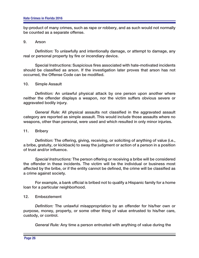by-product of many crimes, such as rape or robbery, and as such would not normally be counted as a separate offense.

#### 9. Arson

*Definition:* To unlawfully and intentionally damage, or attempt to damage, any real or personal property by fire or incendiary device.

Special Instructions: Suspicious fires associated with hate-motivated incidents should be classified as arson. If the investigation later proves that arson has not occurred, the Offense Code can be modified.

#### 10. Simple Assault

*Definition:* An unlawful physical attack by one person upon another where neither the offender displays a weapon, nor the victim suffers obvious severe or aggravated bodily injury.

*General Rule:* All physical assaults not classified in the aggravated assault category are reported as simple assault. This would include those assaults where no weapons, other than personal, were used and which resulted in only minor injuries.

#### 11. Bribery

*Definition:* The offering, giving, receiving, or soliciting of anything of value (i.e., a bribe, gratuity, or kickback) to sway the judgment or action of a person in a position of trust and/or influence.

*Special Instructions:* The person offering or receiving a bribe will be considered the offender in these incidents. The victim will be the individual or business most affected by the bribe, or if the entity cannot be defined, the crime will be classified as a crime against society.

For example, a bank official is bribed not to qualify a Hispanic family for a home loan for a particular neighborhood.

#### 12. Embezzlement

*Definition:* The unlawful misappropriation by an offender for his/her own or purpose, money, property, or some other thing of value entrusted to his/her care, custody, or control.

*General Rule:* Any time a person entrusted with anything of value during the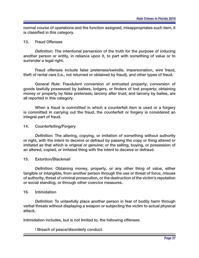normal course of operations and the function assigned, misappropriates such item, it is classified in this category.

#### 13. Fraud Offenses

*Definition:* The intentional perversion of the truth for the purpose of inducing another person or entity, in reliance upon it, to part with something of value or to surrender a legal right.

Fraud offenses include false pretenses/swindle, impersonation, wire fraud, theft of rental cars (i.e., not returned or obtained by fraud), and other types of fraud.

*General Rule:* Fraudulent conversion of entrusted property; conversion of goods lawfully possessed by bailees, lodgers, or finders of lost property; obtaining money or property by false pretenses; larceny after trust; and larceny by bailee, are all reported in this category.

 When a fraud is committed in which a counterfeit item is used or a forgery is committed in carrying out the fraud, the counterfeit or forgery is considered an integral part of fraud.

#### 14. Counterfeiting/Forgery

**Definition:** The altering, copying, or imitation of something without authority or right, with the intent to deceive or defraud by passing the copy or thing altered or imitated as that which is original or genuine; or the selling, buying, or possession of an altered, copied, or imitated thing with the intent to deceive or defraud.

#### 15. Extortion/Blackmail

*Definition:* Obtaining money, property, or any other thing of value, either tangible or intangible, from another person through the use or threat of force, misuse of authority, threat of criminal prosecution, or the destruction of the victim's reputation or social standing, or through other coercive measures.

#### 16. Intimidation

*Definition:* To unlawfully place another person in fear of bodily harm through verbal threats without displaying a weapon or subjecting the victim to actual physical attack.

Intimidation includes, but is not limited to, the following offenses:

! Breach of peace/disorderly conduct.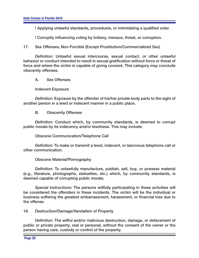! Applying unlawful standards, procedures, or intimidating a qualified voter.

! Corruptly influencing voting by bribery, menace, threat, or corruption.

17. Sex Offenses, Non-Forcible (Except Prostitution/Commercialized Sex)

*Defi nition:* Unlawful sexual intercourse, sexual contact, or other unlawful behavior or conduct intended to result in sexual gratification without force or threat of force and where the victim is capable of giving consent. This category may conclude obscenity offenses.

A. Sex Offenses

Indecent Exposure

*Definition:* Exposure by the offender of his/her private body parts to the sight of another person in a lewd or indecent manner in a public place.

**B.** Obscenity Offenses

*Definition:* Conduct which, by community standards, is deemed to corrupt public morals by its indecency and/or lewdness. This may include:

Obscene Communication/Telephone Call

*Defi nition:* To make or transmit a lewd, indecent, or lascivious telephone call or other communication.

Obscene Material/Pornography

*Definition:* To unlawfully manufacture, publish, sell, buy, or possess material (e.g., literature, photographs, statuettes, etc.) which, by community standards, is deemed capable of corrupting public morals.

*Special Instructions:* The persons willfully participating in these activities will be considered the offenders in these incidents. The victim will be the individual or business suffering the greatest embarrassment, harassment, or financial loss due to the offense.

18. Destruction/Damage/Vandalism of Property

Definition: The willful and/or malicious destruction, damage, or defacement of public or private property, real or personal, without the consent of the owner or the person having care, custody or control of the property.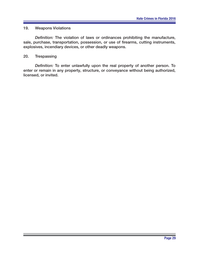# 19. Weapons Violations

*Definition:* The violation of laws or ordinances prohibiting the manufacture, sale, purchase, transportation, possession, or use of firearms, cutting instruments, explosives, incendiary devices, or other deadly weapons.

#### 20. Trespassing

*Definition:* To enter unlawfully upon the real property of another person. To enter or remain in any property, structure, or conveyance without being authorized, licensed, or invited.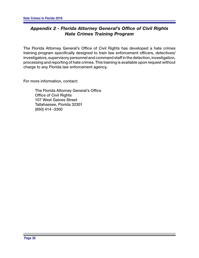# **Appendix 2 - Florida Attorney General's Office of Civil Rights** *Hate Crimes Training Program*

The Florida Attorney General's Office of Civil Rights has developed a hate crimes training program specifically designed to train law enforcement officers, detectives/ investigators, supervisory personnel and command staff in the detection, investigation, processing and reporting of hate crimes. This training is available upon request without charge to any Florida law enforcement agency.

For more information, contact:

The Florida Attorney General's Office Office of Civil Rights 107 West Gaines Street Tallahassee, Florida 32301 (850) 414 -3300